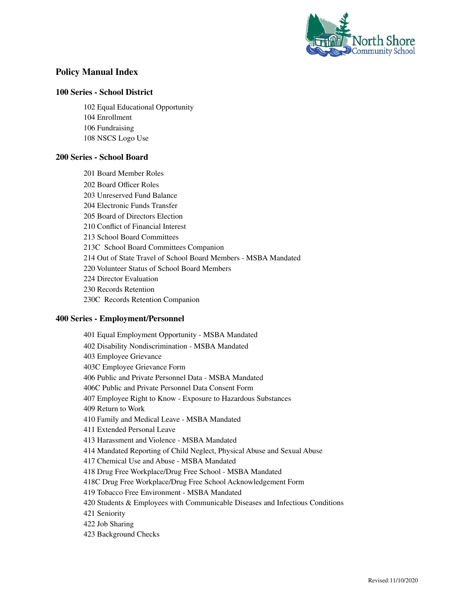

# **Policy Manual Index**

### **Series - School District**

 Equal Educational Opportunity Enrollment Fundraising NSCS Logo Use

### **Series - School Board**

 Board Member Roles Board Officer Roles Unreserved Fund Balance Electronic Funds Transfer Board of Directors Election Conflict of Financial Interest School Board Committees 213C School Board Committees Companion Out of State Travel of School Board Members - MSBA Mandated Volunteer Status of School Board Members Director Evaluation Records Retention 230C Records Retention Companion

## **Series - Employment/Personnel**

 Equal Employment Opportunity - MSBA Mandated Disability Nondiscrimination - MSBA Mandated Employee Grievance 403C Employee Grievance Form Public and Private Personnel Data - MSBA Mandated 406C Public and Private Personnel Data Consent Form Employee Right to Know - Exposure to Hazardous Substances Return to Work Family and Medical Leave - MSBA Mandated Extended Personal Leave Harassment and Violence - MSBA Mandated Mandated Reporting of Child Neglect, Physical Abuse and Sexual Abuse Chemical Use and Abuse - MSBA Mandated Drug Free Workplace/Drug Free School - MSBA Mandated 418C Drug Free Workplace/Drug Free School Acknowledgement Form Tobacco Free Environment - MSBA Mandated Students & Employees with Communicable Diseases and Infectious Conditions Seniority Job Sharing Background Checks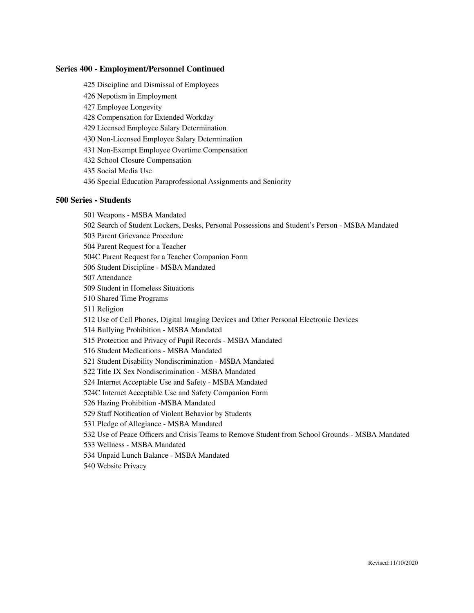### **Series 400 - Employment/Personnel Continued**

- Discipline and Dismissal of Employees
- Nepotism in Employment
- Employee Longevity
- Compensation for Extended Workday
- Licensed Employee Salary Determination
- Non-Licensed Employee Salary Determination
- Non-Exempt Employee Overtime Compensation
- School Closure Compensation
- Social Media Use
- Special Education Paraprofessional Assignments and Seniority

#### **Series - Students**

- Weapons MSBA Mandated
- Search of Student Lockers, Desks, Personal Possessions and Student's Person MSBA Mandated
- Parent Grievance Procedure
- Parent Request for a Teacher
- 504C Parent Request for a Teacher Companion Form
- Student Discipline MSBA Mandated
- Attendance
- Student in Homeless Situations
- Shared Time Programs
- Religion
- Use of Cell Phones, Digital Imaging Devices and Other Personal Electronic Devices
- Bullying Prohibition MSBA Mandated
- Protection and Privacy of Pupil Records MSBA Mandated
- Student Medications MSBA Mandated
- Student Disability Nondiscrimination MSBA Mandated
- Title IX Sex Nondiscrimination MSBA Mandated
- Internet Acceptable Use and Safety MSBA Mandated
- 524C Internet Acceptable Use and Safety Companion Form
- Hazing Prohibition -MSBA Mandated
- Staff Notification of Violent Behavior by Students
- Pledge of Allegiance MSBA Mandated
- Use of Peace Officers and Crisis Teams to Remove Student from School Grounds MSBA Mandated
- Wellness MSBA Mandated
- Unpaid Lunch Balance MSBA Mandated
- Website Privacy